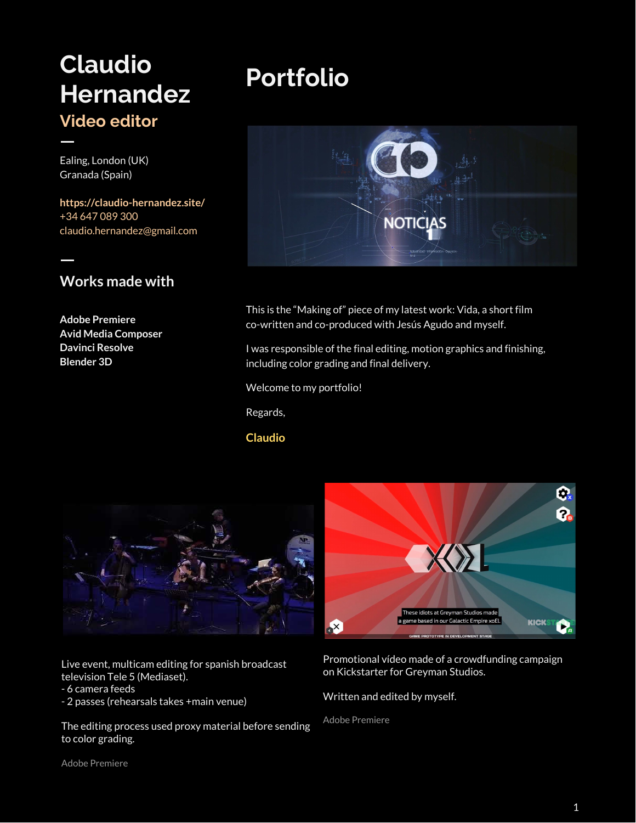## **Claudio Hernandez Video editor**

Ealing, London (UK) Granada (Spain)

 $\overline{\phantom{a}}$ 

 $\overline{\phantom{a}}$ 

**<https://claudio-hernandez.site/>** +34 647 089 300 claudio.hernandez@gmail.com

### **Works made with**

**Adobe Premiere Avid Media Composer Davinci Resolve Blender 3D**

# **Portfolio**



This is the "Making of" piece of my latest work: Vida, a short film co-written and co-produced with Jesús Agudo and myself.

I was responsible of the final editing, motion graphics and finishing, including color grading and final delivery.

Welcome to my portfolio!

Regards,

### **Claudio**



Live event, multicam editing for spanish broadcast television Tele 5 (Mediaset).

- 6 camera feeds
- 2 passes (rehearsals takes +main venue)

The editing process used proxy material before sending to color grading.



Promotional vídeo made of a crowdfunding campaign on Kickstarter for Greyman Studios.

Written and edited by myself.

Adobe Premiere

Adobe Premiere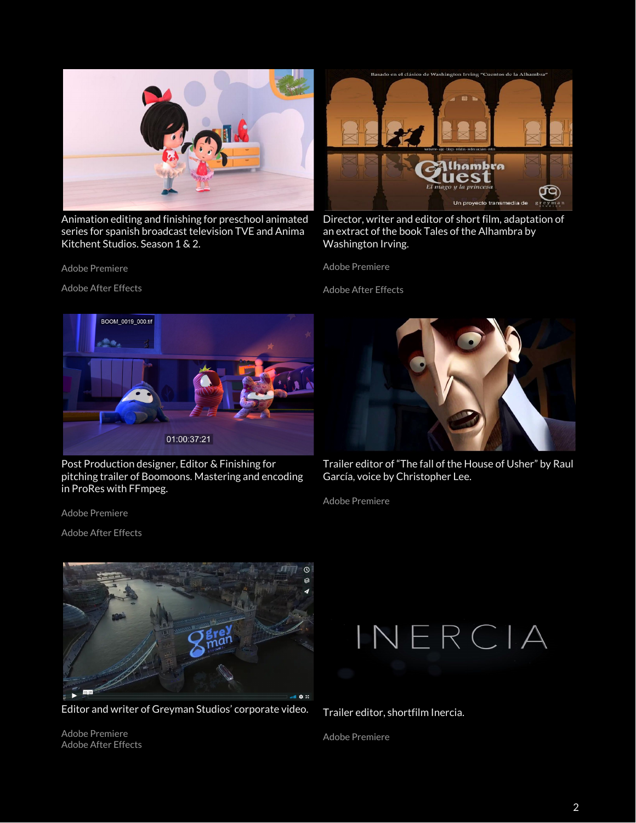

Animation editing and finishing for preschool animated series for spanish broadcast television TVE and Anima Kitchent Studios. Season 1 & 2.



Adobe After Effects



Director, writer and editor of short film, adaptation of an extract of the book Tales of the Alhambra by Washington Irving.

Adobe Premiere

Adobe After Effects



Post Production designer, Editor & Finishing for pitching trailer of Boomoons. Mastering and encoding in ProRes with FFmpeg.

Adobe Premiere

Adobe After Effects



Trailer editor of "The fall of the House of Usher" by Raul García, voice by Christopher Lee.

Adobe Premiere



Editor and writer of Greyman Studios' corporate video.

Adobe Premiere Adobe After Effects



Trailer editor, shortfilm Inercia.

Adobe Premiere

2